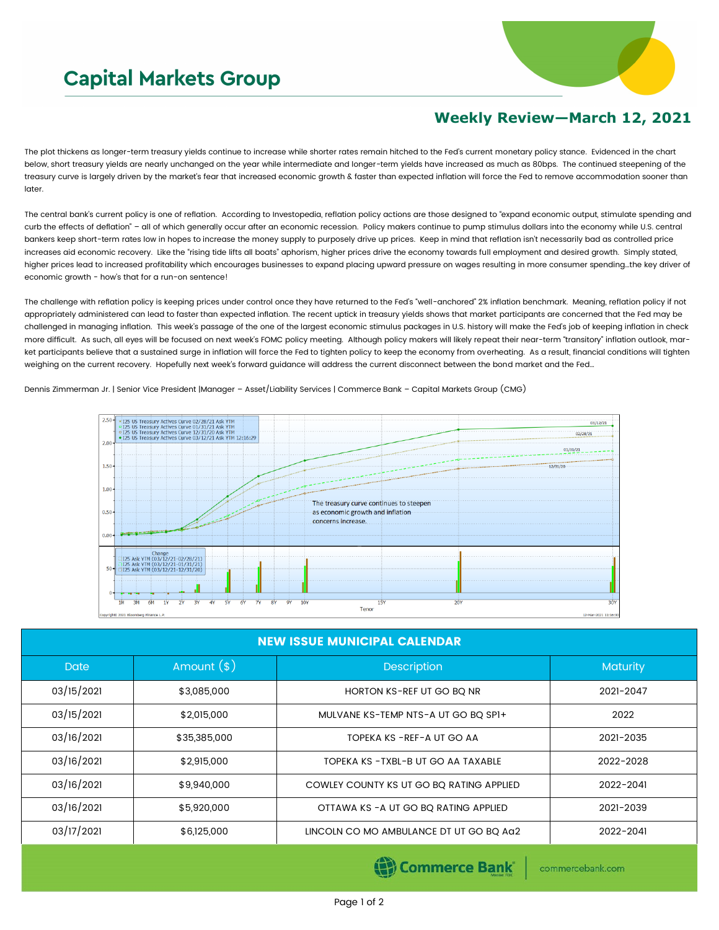## **Capital Markets Group**



## **Weekly Review—March 12, 2021**

The plot thickens as longer-term treasury yields continue to increase while shorter rates remain hitched to the Fed's current monetary policy stance. Evidenced in the chart below, short treasury yields are nearly unchanged on the year while intermediate and longer-term yields have increased as much as 80bps. The continued steepening of the treasury curve is largely driven by the market's fear that increased economic growth & faster than expected inflation will force the Fed to remove accommodation sooner than later.

The central bank's current policy is one of reflation. According to Investopedia, reflation policy actions are those designed to "expand economic output, stimulate spending and curb the effects of deflation" - all of which generally occur after an economic recession. Policy makers continue to pump stimulus dollars into the economy while U.S. central bankers keep short-term rates low in hopes to increase the money supply to purposely drive up prices. Keep in mind that reflation isn't necessarily bad as controlled price increases aid economic recovery. Like the "rising tide lifts all boats" aphorism, higher prices drive the economy towards full employment and desired growth. Simply stated, higher prices lead to increased profitability which encourages businesses to expand placing upward pressure on wages resulting in more consumer spending…the key driver of economic growth - how's that for a run-on sentence!

The challenge with reflation policy is keeping prices under control once they have returned to the Fed's "well-anchored" 2% inflation benchmark. Meaning, reflation policy if not appropriately administered can lead to faster than expected inflation. The recent uptick in treasury yields shows that market participants are concerned that the Fed may be challenged in managing inflation. This week's passage of the one of the largest economic stimulus packages in U.S. history will make the Fed's job of keeping inflation in check more difficult. As such, all eyes will be focused on next week's FOMC policy meeting. Although policy makers will likely repeat their near-term "transitory" inflation outlook, market participants believe that a sustained surge in inflation will force the Fed to tighten policy to keep the economy from overheating. As a result, financial conditions will tighten weighing on the current recovery. Hopefully next week's forward guidance will address the current disconnect between the bond market and the Fed…

## Dennis Zimmerman Jr. | Senior Vice President |Manager – Asset/Liability Services | Commerce Bank – Capital Markets Group (CMG)



| <b>NEW ISSUE MUNICIPAL CALENDAR</b> |              |                                          |                 |  |  |  |  |
|-------------------------------------|--------------|------------------------------------------|-----------------|--|--|--|--|
| <b>Date</b>                         | Amount $(s)$ | Description                              | <b>Maturity</b> |  |  |  |  |
| 03/15/2021                          | \$3,085,000  | HORTON KS-REF UT GO BQ NR                | 2021-2047       |  |  |  |  |
| 03/15/2021                          | \$2,015,000  | MULVANE KS-TEMP NTS-A UT GO BQ SPI+      | 2022            |  |  |  |  |
| 03/16/2021                          | \$35,385,000 | TOPEKA KS - REF-A UT GO AA               | 2021-2035       |  |  |  |  |
| 03/16/2021                          | \$2,915,000  | TOPEKA KS - TXBL-B UT GO AA TAXABLE      | 2022-2028       |  |  |  |  |
| 03/16/2021                          | \$9,940,000  | COWLEY COUNTY KS UT GO BO RATING APPLIED | 2022-2041       |  |  |  |  |
| 03/16/2021                          | \$5,920,000  | OTTAWA KS - A UT GO BO RATING APPLIED    | 2021-2039       |  |  |  |  |
| 03/17/2021                          | \$6,125,000  | LINCOLN CO MO AMBULANCE DT UT GO BO AG2  | 2022-2041       |  |  |  |  |

Commerce Bank

commercebank.com